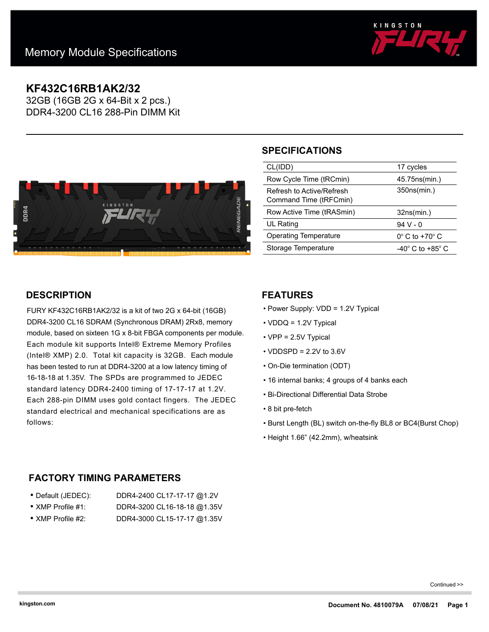

## **KF432C16RB1AK2/32**

32GB (16GB 2G x 64-Bit x 2 pcs.) DDR4-3200 CL16 288-Pin DIMM Kit



# **SPECIFICATIONS**

| CL(IDD)                                             | 17 cycles                     |
|-----------------------------------------------------|-------------------------------|
| Row Cycle Time (tRCmin)                             | 45.75ns(min.)                 |
| Refresh to Active/Refresh<br>Command Time (tRFCmin) | 350ns(min.)                   |
|                                                     |                               |
| Row Active Time (tRASmin)                           | 32ns(min.)                    |
| UL Rating                                           | 94 V - 0                      |
| Operating Temperature                               | $0^\circ$ C to +70 $^\circ$ C |
| Storage Temperature                                 | -40° C to +85° C              |

## **DESCRIPTION**

FURY KF432C16RB1AK2/32 is a kit of two 2G x 64-bit (16GB) DDR4-3200 CL16 SDRAM (Synchronous DRAM) 2Rx8, memory module, based on sixteen 1G x 8-bit FBGA components per module. Each module kit supports Intel® Extreme Memory Profiles (Intel® XMP) 2.0. Total kit capacity is 32GB. Each module has been tested to run at DDR4-3200 at a low latency timing of 16-18-18 at 1.35V. The SPDs are programmed to JEDEC standard latency DDR4-2400 timing of 17-17-17 at 1.2V. Each 288-pin DIMM uses gold contact fingers. The JEDEC standard electrical and mechanical specifications are as follows:

### **FEATURES**

- Power Supply: VDD = 1.2V Typical
- VDDQ = 1.2V Typical
- VPP = 2.5V Typical
- $\cdot$  VDDSPD = 2.2V to 3.6V
- On-Die termination (ODT)
- 16 internal banks; 4 groups of 4 banks each
- Bi-Directional Differential Data Strobe
- 8 bit pre-fetch
- Burst Length (BL) switch on-the-fly BL8 or BC4(Burst Chop)
- Height 1.66" (42.2mm), w/heatsink

## **FACTORY TIMING PARAMETERS**

| ● Default (JEDEC):        | DDR4-2400 CL17-17-17 @1.2V  |
|---------------------------|-----------------------------|
| $\bullet$ XMP Profile #1: | DDR4-3200 CL16-18-18 @1.35V |

- XMP Profile #2: DDR4-3000 CL15-17-17 @1.35V
- 

Continued >>